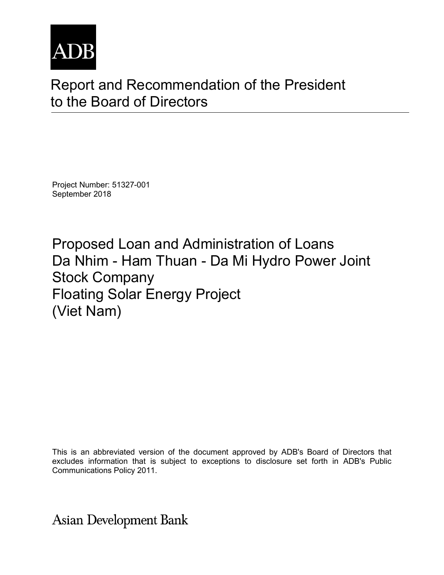

# Report and Recommendation of the President to the Board of Directors

Project Number: 51327-001 September 2018

Proposed Loan and Administration of Loans Da Nhim - Ham Thuan - Da Mi Hydro Power Joint Stock Company Floating Solar Energy Project (Viet Nam)

This is an abbreviated version of the document approved by ADB's Board of Directors that excludes information that is subject to exceptions to disclosure set forth in ADB's Public Communications Policy 2011.

**Asian Development Bank**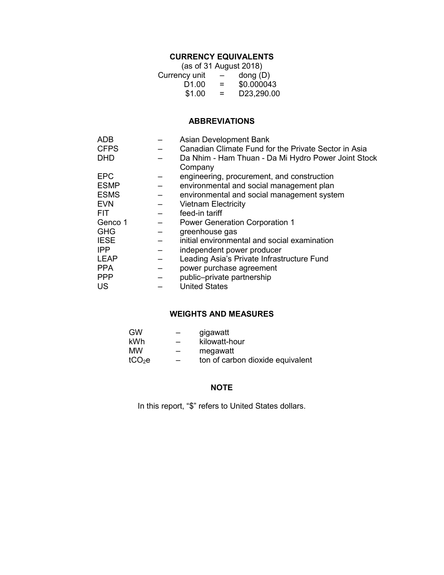# **CURRENCY EQUIVALENTS**

| (as of 31 August 2018) |                          |                                        |  |  |
|------------------------|--------------------------|----------------------------------------|--|--|
| Currency unit          | $\overline{\phantom{0}}$ | $\mathsf{dong}\left(\mathsf{D}\right)$ |  |  |
| D <sub>1.00</sub>      | $=$                      | \$0.000043                             |  |  |
| \$1.00                 | $=$                      | D23,290.00                             |  |  |

# **ABBREVIATIONS**

| Asian Development Bank                               |
|------------------------------------------------------|
| Canadian Climate Fund for the Private Sector in Asia |
| Da Nhim - Ham Thuan - Da Mi Hydro Power Joint Stock  |
| Company                                              |
| engineering, procurement, and construction           |
| environmental and social management plan             |
| environmental and social management system           |
| <b>Vietnam Electricity</b>                           |
| feed-in tariff                                       |
| <b>Power Generation Corporation 1</b>                |
| greenhouse gas                                       |
| initial environmental and social examination         |
| independent power producer                           |
| Leading Asia's Private Infrastructure Fund           |
| power purchase agreement                             |
| public-private partnership                           |
| <b>United States</b>                                 |
|                                                      |

#### **WEIGHTS AND MEASURES**

| GW                 | $\hspace{0.05cm}$        | gigawatt                         |
|--------------------|--------------------------|----------------------------------|
| kWh                | $\qquad \qquad -$        | kilowatt-hour                    |
| <b>MW</b>          | $\qquad \qquad$          | megawatt                         |
| tCO <sub>2</sub> e | $\overline{\phantom{0}}$ | ton of carbon dioxide equivalent |

# **NOTE**

In this report, "\$" refers to United States dollars.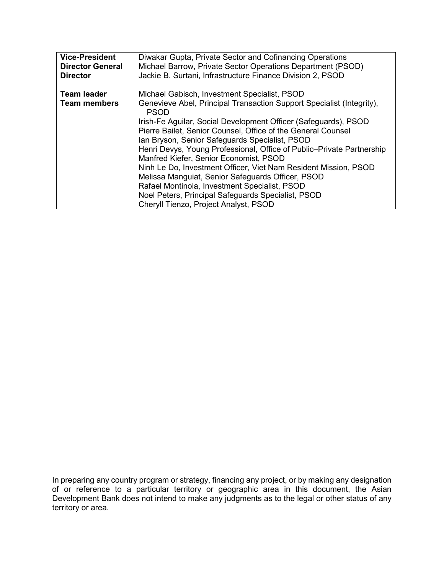| <b>Vice-President</b>              | Diwakar Gupta, Private Sector and Cofinancing Operations                                                                                                                                                                                                                                                                                                                                                                                                                                                                                                                                                                                                                                                             |
|------------------------------------|----------------------------------------------------------------------------------------------------------------------------------------------------------------------------------------------------------------------------------------------------------------------------------------------------------------------------------------------------------------------------------------------------------------------------------------------------------------------------------------------------------------------------------------------------------------------------------------------------------------------------------------------------------------------------------------------------------------------|
| <b>Director General</b>            | Michael Barrow, Private Sector Operations Department (PSOD)                                                                                                                                                                                                                                                                                                                                                                                                                                                                                                                                                                                                                                                          |
| <b>Director</b>                    | Jackie B. Surtani, Infrastructure Finance Division 2, PSOD                                                                                                                                                                                                                                                                                                                                                                                                                                                                                                                                                                                                                                                           |
| Team leader<br><b>Team members</b> | Michael Gabisch, Investment Specialist, PSOD<br>Genevieve Abel, Principal Transaction Support Specialist (Integrity),<br><b>PSOD</b><br>Irish-Fe Aguilar, Social Development Officer (Safeguards), PSOD<br>Pierre Bailet, Senior Counsel, Office of the General Counsel<br>Ian Bryson, Senior Safeguards Specialist, PSOD<br>Henri Devys, Young Professional, Office of Public–Private Partnership<br>Manfred Kiefer, Senior Economist, PSOD<br>Ninh Le Do, Investment Officer, Viet Nam Resident Mission, PSOD<br>Melissa Manguiat, Senior Safeguards Officer, PSOD<br>Rafael Montinola, Investment Specialist, PSOD<br>Noel Peters, Principal Safeguards Specialist, PSOD<br>Cheryll Tienzo, Project Analyst, PSOD |

In preparing any country program or strategy, financing any project, or by making any designation of or reference to a particular territory or geographic area in this document, the Asian Development Bank does not intend to make any judgments as to the legal or other status of any territory or area.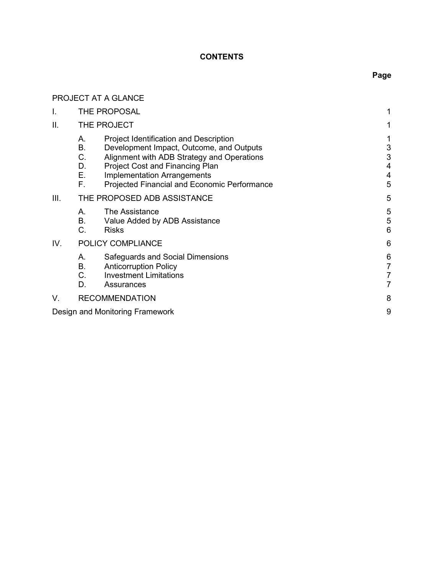## **CONTENTS**

# **Page**

|      |                                  | PROJECT AT A GLANCE                                                                                                                                                                                                                                                     |                               |
|------|----------------------------------|-------------------------------------------------------------------------------------------------------------------------------------------------------------------------------------------------------------------------------------------------------------------------|-------------------------------|
| I.   |                                  | THE PROPOSAL                                                                                                                                                                                                                                                            | 1                             |
| ΙΙ.  |                                  | THE PROJECT                                                                                                                                                                                                                                                             |                               |
|      | А.<br>В.<br>C.<br>D.<br>Ε.<br>F. | <b>Project Identification and Description</b><br>Development Impact, Outcome, and Outputs<br>Alignment with ADB Strategy and Operations<br><b>Project Cost and Financing Plan</b><br><b>Implementation Arrangements</b><br>Projected Financial and Economic Performance | 1<br>3<br>3<br>4<br>4<br>5    |
| III. |                                  | THE PROPOSED ADB ASSISTANCE                                                                                                                                                                                                                                             | 5                             |
|      | А.<br>В.<br>C.                   | The Assistance<br>Value Added by ADB Assistance<br><b>Risks</b>                                                                                                                                                                                                         | 5<br>5<br>6                   |
| IV.  |                                  | POLICY COMPLIANCE                                                                                                                                                                                                                                                       | 6                             |
|      | А.<br>В.<br>C.<br>D.             | Safeguards and Social Dimensions<br><b>Anticorruption Policy</b><br><b>Investment Limitations</b><br>Assurances                                                                                                                                                         | 6<br>7<br>$\overline{7}$<br>7 |
| V.   |                                  | <b>RECOMMENDATION</b>                                                                                                                                                                                                                                                   | 8                             |
|      |                                  | Design and Monitoring Framework                                                                                                                                                                                                                                         | 9                             |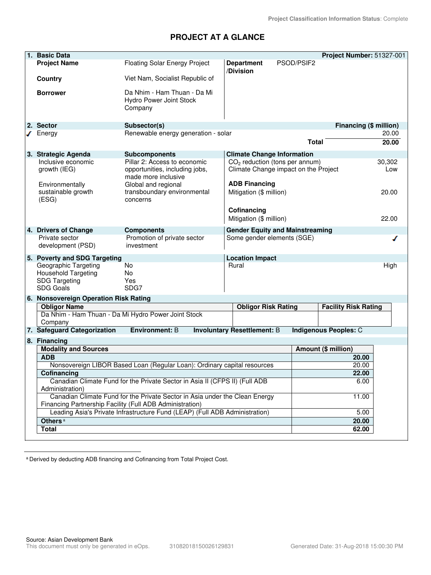## **PROJECT AT A GLANCE**

| 1. Basic Data                                                                                  |                                                                                                                                         |                                                                          |              | Project Number: 51327-001   |               |
|------------------------------------------------------------------------------------------------|-----------------------------------------------------------------------------------------------------------------------------------------|--------------------------------------------------------------------------|--------------|-----------------------------|---------------|
| <b>Project Name</b>                                                                            | Floating Solar Energy Project                                                                                                           | <b>Department</b>                                                        | PSOD/PSIF2   |                             |               |
| Country                                                                                        | Viet Nam, Socialist Republic of                                                                                                         | /Division                                                                |              |                             |               |
| <b>Borrower</b>                                                                                | Da Nhim - Ham Thuan - Da Mi<br>Hydro Power Joint Stock<br>Company                                                                       |                                                                          |              |                             |               |
| 2. Sector                                                                                      | Subsector(s)                                                                                                                            |                                                                          |              | Financing (\$ million)      |               |
| $\sqrt{\phantom{a}}$ Energy                                                                    | Renewable energy generation - solar                                                                                                     |                                                                          |              |                             | 20.00         |
|                                                                                                |                                                                                                                                         |                                                                          | <b>Total</b> |                             | 20.00         |
| 3. Strategic Agenda                                                                            | <b>Subcomponents</b>                                                                                                                    | <b>Climate Change Information</b>                                        |              |                             |               |
| Inclusive economic<br>growth (IEG)                                                             | Pillar 2: Access to economic<br>opportunities, including jobs,<br>made more inclusive                                                   | $CO2$ reduction (tons per annum)<br>Climate Change impact on the Project |              |                             | 30,302<br>Low |
| Environmentally<br>sustainable growth<br>(ESG)                                                 | Global and regional<br>transboundary environmental<br>concerns                                                                          | <b>ADB Financing</b><br>Mitigation (\$ million)                          |              |                             | 20.00         |
|                                                                                                |                                                                                                                                         | Cofinancing<br>Mitigation (\$ million)                                   |              |                             | 22.00         |
| 4. Drivers of Change<br>Private sector<br>development (PSD)                                    | <b>Components</b><br>Promotion of private sector<br>investment                                                                          | <b>Gender Equity and Mainstreaming</b><br>Some gender elements (SGE)     |              |                             | ℐ             |
| 5. Poverty and SDG Targeting                                                                   |                                                                                                                                         | <b>Location Impact</b>                                                   |              |                             |               |
| Geographic Targeting<br><b>Household Targeting</b><br><b>SDG Targeting</b><br><b>SDG Goals</b> | <b>No</b><br><b>No</b><br>Yes<br>SDG7                                                                                                   | Rural                                                                    |              |                             | High          |
| 6. Nonsovereign Operation Risk Rating                                                          |                                                                                                                                         |                                                                          |              |                             |               |
| <b>Obligor Name</b>                                                                            |                                                                                                                                         | <b>Obligor Risk Rating</b>                                               |              | <b>Facility Risk Rating</b> |               |
| Company                                                                                        | Da Nhim - Ham Thuan - Da Mi Hydro Power Joint Stock                                                                                     |                                                                          |              |                             |               |
| 7. Safeguard Categorization                                                                    | <b>Environment: B</b>                                                                                                                   | <b>Involuntary Resettlement: B</b>                                       |              | Indigenous Peoples: C       |               |
| 8. Financing                                                                                   |                                                                                                                                         |                                                                          |              |                             |               |
| <b>Modality and Sources</b>                                                                    |                                                                                                                                         |                                                                          |              | Amount (\$ million)         |               |
| <b>ADB</b>                                                                                     |                                                                                                                                         |                                                                          |              | 20.00                       |               |
|                                                                                                | Nonsovereign LIBOR Based Loan (Regular Loan): Ordinary capital resources                                                                |                                                                          |              | 20.00                       |               |
| Cofinancing                                                                                    |                                                                                                                                         |                                                                          |              | 22.00                       |               |
| Administration)                                                                                | Canadian Climate Fund for the Private Sector in Asia II (CFPS II) (Full ADB                                                             |                                                                          |              | 6.00                        |               |
|                                                                                                | Canadian Climate Fund for the Private Sector in Asia under the Clean Energy<br>Financing Partnership Facility (Full ADB Administration) |                                                                          |              | 11.00                       |               |
|                                                                                                | Leading Asia's Private Infrastructure Fund (LEAP) (Full ADB Administration)                                                             |                                                                          |              | 5.00                        |               |
| Others <sup>a</sup>                                                                            |                                                                                                                                         |                                                                          |              | 20.00                       |               |
| <b>Total</b>                                                                                   |                                                                                                                                         |                                                                          |              | 62.00                       |               |

<sup>a</sup> Derived by deducting ADB financing and Cofinancing from Total Project Cost.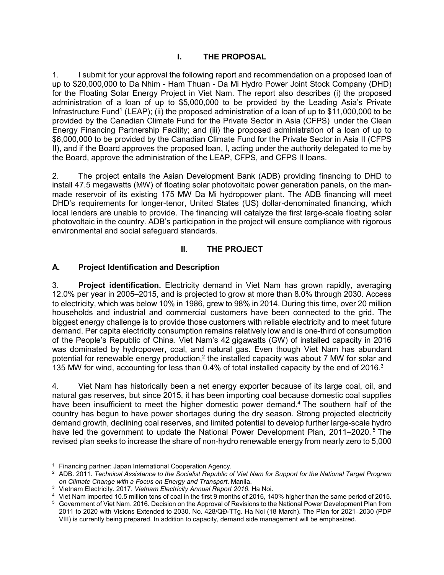### **I. THE PROPOSAL**

1. I submit for your approval the following report and recommendation on a proposed loan of up to \$20,000,000 to Da Nhim - Ham Thuan - Da Mi Hydro Power Joint Stock Company (DHD) for the Floating Solar Energy Project in Viet Nam. The report also describes (i) the proposed administration of a loan of up to \$5,000,000 to be provided by the Leading Asia's Private Infrastructure Fund<sup>1</sup> (LEAP); (ii) the proposed administration of a loan of up to \$11,000,000 to be provided by the Canadian Climate Fund for the Private Sector in Asia (CFPS) under the Clean Energy Financing Partnership Facility; and (iii) the proposed administration of a loan of up to \$6,000,000 to be provided by the Canadian Climate Fund for the Private Sector in Asia II (CFPS II), and if the Board approves the proposed loan, I, acting under the authority delegated to me by the Board, approve the administration of the LEAP, CFPS, and CFPS II loans.

2. The project entails the Asian Development Bank (ADB) providing financing to DHD to install 47.5 megawatts (MW) of floating solar photovoltaic power generation panels, on the manmade reservoir of its existing 175 MW Da Mi hydropower plant. The ADB financing will meet DHD's requirements for longer-tenor, United States (US) dollar-denominated financing, which local lenders are unable to provide. The financing will catalyze the first large-scale floating solar photovoltaic in the country. ADB's participation in the project will ensure compliance with rigorous environmental and social safeguard standards.

#### **II. THE PROJECT**

#### **A. Project Identification and Description**

3. **Project identification.** Electricity demand in Viet Nam has grown rapidly, averaging 12.0% per year in 2005–2015, and is projected to grow at more than 8.0% through 2030. Access to electricity, which was below 10% in 1986, grew to 98% in 2014. During this time, over 20 million households and industrial and commercial customers have been connected to the grid. The biggest energy challenge is to provide those customers with reliable electricity and to meet future demand. Per capita electricity consumption remains relatively low and is one-third of consumption of the People's Republic of China. Viet Nam's 42 gigawatts (GW) of installed capacity in 2016 was dominated by hydropower, coal, and natural gas. Even though Viet Nam has abundant potential for renewable energy production,<sup>2</sup> the installed capacity was about 7 MW for solar and 135 MW for wind, accounting for less than 0.4% of total installed capacity by the end of 2016.<sup>3</sup>

4. Viet Nam has historically been a net energy exporter because of its large coal, oil, and natural gas reserves, but since 2015, it has been importing coal because domestic coal supplies have been insufficient to meet the higher domestic power demand.<sup>4</sup> The southern half of the country has begun to have power shortages during the dry season. Strong projected electricity demand growth, declining coal reserves, and limited potential to develop further large-scale hydro have led the government to update the National Power Development Plan, 2011–2020.<sup>5</sup> The revised plan seeks to increase the share of non-hydro renewable energy from nearly zero to 5,000

-

<sup>&</sup>lt;sup>1</sup> Financing partner: Japan International Cooperation Agency.

<sup>2</sup> ADB. 2011. *Technical Assistance to the Socialist Republic of Viet Nam for Support for the National Target Program on Climate Change with a Focus on Energy and Transport*. Manila.

<sup>3</sup> Vietnam Electricity. 2017. *Vietnam Electricity Annual Report 2016*. Ha Noi.

<sup>4</sup> Viet Nam imported 10.5 million tons of coal in the first 9 months of 2016, 140% higher than the same period of 2015.

 $^5\,$  Government of Viet Nam. 2016. Decision on the Approval of Revisions to the National Power Development Plan from 2011 to 2020 with Visions Extended to 2030. No. 428/QĐ-TTg. Ha Noi (18 March). The Plan for 2021–2030 (PDP VIII) is currently being prepared. In addition to capacity, demand side management will be emphasized.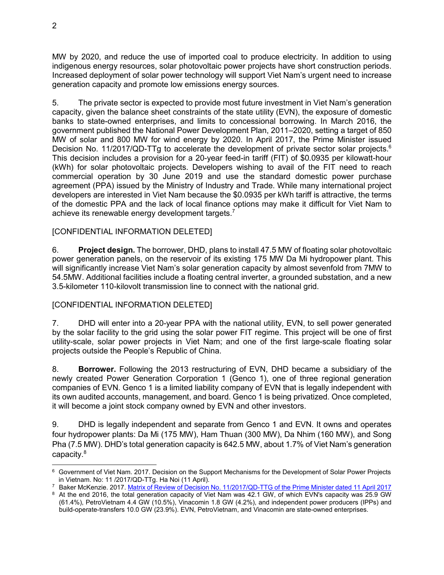MW by 2020, and reduce the use of imported coal to produce electricity. In addition to using indigenous energy resources, solar photovoltaic power projects have short construction periods. Increased deployment of solar power technology will support Viet Nam's urgent need to increase generation capacity and promote low emissions energy sources.

5. The private sector is expected to provide most future investment in Viet Nam's generation capacity, given the balance sheet constraints of the state utility (EVN), the exposure of domestic banks to state-owned enterprises, and limits to concessional borrowing. In March 2016, the government published the National Power Development Plan, 2011–2020, setting a target of 850 MW of solar and 800 MW for wind energy by 2020. In April 2017, the Prime Minister issued Decision No. 11/2017/QD-TTg to accelerate the development of private sector solar projects.<sup>6</sup> This decision includes a provision for a 20-year feed-in tariff (FIT) of \$0.0935 per kilowatt-hour (kWh) for solar photovoltaic projects. Developers wishing to avail of the FIT need to reach commercial operation by 30 June 2019 and use the standard domestic power purchase agreement (PPA) issued by the Ministry of Industry and Trade. While many international project developers are interested in Viet Nam because the \$0.0935 per kWh tariff is attractive, the terms of the domestic PPA and the lack of local finance options may make it difficult for Viet Nam to achieve its renewable energy development targets.<sup>7</sup>

#### [CONFIDENTIAL INFORMATION DELETED]

6. **Project design.** The borrower, DHD, plans to install 47.5 MW of floating solar photovoltaic power generation panels, on the reservoir of its existing 175 MW Da Mi hydropower plant. This will significantly increase Viet Nam's solar generation capacity by almost sevenfold from 7MW to 54.5MW. Additional facilities include a floating central inverter, a grounded substation, and a new 3.5-kilometer 110-kilovolt transmission line to connect with the national grid.

#### [CONFIDENTIAL INFORMATION DELETED]

7. DHD will enter into a 20-year PPA with the national utility, EVN, to sell power generated by the solar facility to the grid using the solar power FIT regime. This project will be one of first utility-scale, solar power projects in Viet Nam; and one of the first large-scale floating solar projects outside the People's Republic of China.

8. **Borrower.** Following the 2013 restructuring of EVN, DHD became a subsidiary of the newly created Power Generation Corporation 1 (Genco 1), one of three regional generation companies of EVN. Genco 1 is a limited liability company of EVN that is legally independent with its own audited accounts, management, and board. Genco 1 is being privatized. Once completed, it will become a joint stock company owned by EVN and other investors.

9. DHD is legally independent and separate from Genco 1 and EVN. It owns and operates four hydropower plants: Da Mi (175 MW), Ham Thuan (300 MW), Da Nhim (160 MW), and Song Pha (7.5 MW). DHD's total generation capacity is 642.5 MW, about 1.7% of Viet Nam's generation capacity.<sup>8</sup>

<sup>-</sup><sup>6</sup> Government of Viet Nam. 2017. Decision on the Support Mechanisms for the Development of Solar Power Projects in Vietnam. No: 11 /2017/QD-TTg. Ha Noi (11 April).

<sup>&</sup>lt;sup>7</sup> Baker McKenzie. 2017. <u>Matrix of Review of Decision No. 11/2017/QD-TTG of the Prime Minister dated 11 April 2017</u>

 $^8\,$  At the end 2016, the total generation capacity of Viet Nam was 42.1 GW, of which EVN's capacity was 25.9 GW (61.4%), PetroVietnam 4.4 GW (10.5%), Vinacomin 1.8 GW (4.2%), and independent power producers (IPPs) and build-operate-transfers 10.0 GW (23.9%). EVN, PetroVietnam, and Vinacomin are state-owned enterprises.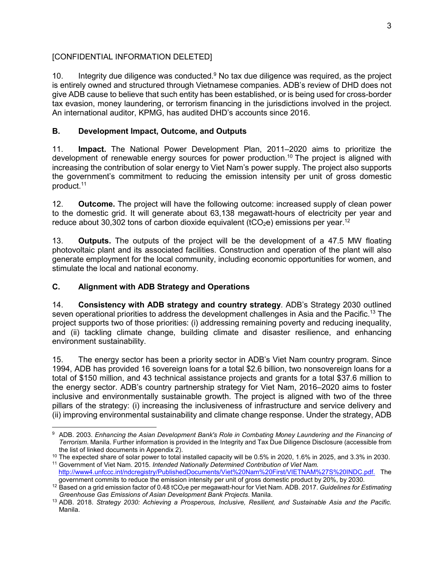## [CONFIDENTIAL INFORMATION DELETED]

10. Integrity due diligence was conducted. $9$  No tax due diligence was required, as the project is entirely owned and structured through Vietnamese companies. ADB's review of DHD does not give ADB cause to believe that such entity has been established, or is being used for cross-border tax evasion, money laundering, or terrorism financing in the jurisdictions involved in the project. An international auditor, KPMG, has audited DHD's accounts since 2016.

### **B. Development Impact, Outcome, and Outputs**

11. **Impact.** The National Power Development Plan, 2011–2020 aims to prioritize the development of renewable energy sources for power production.<sup>10</sup> The project is aligned with increasing the contribution of solar energy to Viet Nam's power supply. The project also supports the government's commitment to reducing the emission intensity per unit of gross domestic product.<sup>11</sup>

12. **Outcome.** The project will have the following outcome: increased supply of clean power to the domestic grid. It will generate about 63,138 megawatt-hours of electricity per year and reduce about 30,302 tons of carbon dioxide equivalent (tCO<sub>2</sub>e) emissions per year.<sup>12</sup>

13. **Outputs.** The outputs of the project will be the development of a 47.5 MW floating photovoltaic plant and its associated facilities. Construction and operation of the plant will also generate employment for the local community, including economic opportunities for women, and stimulate the local and national economy.

#### **C. Alignment with ADB Strategy and Operations**

14. **Consistency with ADB strategy and country strategy**. ADB's Strategy 2030 outlined seven operational priorities to address the development challenges in Asia and the Pacific.<sup>13</sup> The project supports two of those priorities: (i) addressing remaining poverty and reducing inequality, and (ii) tackling climate change, building climate and disaster resilience, and enhancing environment sustainability.

15. The energy sector has been a priority sector in ADB's Viet Nam country program. Since 1994, ADB has provided 16 sovereign loans for a total \$2.6 billion, two nonsovereign loans for a total of \$150 million, and 43 technical assistance projects and grants for a total \$37.6 million to the energy sector. ADB's country partnership strategy for Viet Nam, 2016–2020 aims to foster inclusive and environmentally sustainable growth. The project is aligned with two of the three pillars of the strategy: (i) increasing the inclusiveness of infrastructure and service delivery and (ii) improving environmental sustainability and climate change response. Under the strategy, ADB

<sup>-</sup>9 ADB. 2003. *Enhancing the Asian Development Bank's Role in Combating Money Laundering and the Financing of Terrorism*. Manila. Further information is provided in the Integrity and Tax Due Diligence Disclosure (accessible from the list of linked documents in Appendix 2).

 $10$  The expected share of solar power to total installed capacity will be 0.5% in 2020, 1.6% in 2025, and 3.3% in 2030. <sup>11</sup> Government of Viet Nam. 2015. *Intended Nationally Determined Contribution of Viet Nam.* 

http://www4.unfccc.int/ndcregistry/PublishedDocuments/Viet%20Nam%20First/VIETNAM%27S%20INDC.pdf. The government commits to reduce the emission intensity per unit of gross domestic product by 20%, by 2030.

<sup>12</sup> Based on a grid emission factor of 0.48 tCO2e per megawatt-hour for Viet Nam. ADB. 2017. *Guidelines for Estimating Greenhouse Gas Emissions of Asian Development Bank Projects*. Manila.

<sup>13</sup> ADB. 2018. *Strategy 2030: Achieving a Prosperous, Inclusive, Resilient, and Sustainable Asia and the Pacific.* Manila.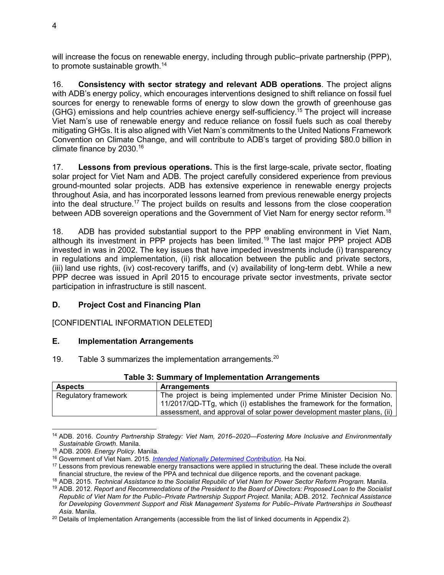will increase the focus on renewable energy, including through public–private partnership (PPP), to promote sustainable growth.<sup>14</sup>

16. **Consistency with sector strategy and relevant ADB operations**. The project aligns with ADB's energy policy, which encourages interventions designed to shift reliance on fossil fuel sources for energy to renewable forms of energy to slow down the growth of greenhouse gas (GHG) emissions and help countries achieve energy self-sufficiency.<sup>15</sup> The project will increase Viet Nam's use of renewable energy and reduce reliance on fossil fuels such as coal thereby mitigating GHGs. It is also aligned with Viet Nam's commitments to the United Nations Framework Convention on Climate Change, and will contribute to ADB's target of providing \$80.0 billion in climate finance by 2030. $^{16}$ 

17. **Lessons from previous operations.** This is the first large-scale, private sector, floating solar project for Viet Nam and ADB. The project carefully considered experience from previous ground-mounted solar projects. ADB has extensive experience in renewable energy projects throughout Asia, and has incorporated lessons learned from previous renewable energy projects into the deal structure.<sup>17</sup> The project builds on results and lessons from the close cooperation between ADB sovereign operations and the Government of Viet Nam for energy sector reform.<sup>18</sup>

18. ADB has provided substantial support to the PPP enabling environment in Viet Nam, although its investment in PPP projects has been limited.<sup>19</sup> The last major PPP project ADB invested in was in 2002. The key issues that have impeded investments include (i) transparency in regulations and implementation, (ii) risk allocation between the public and private sectors, (iii) land use rights, (iv) cost-recovery tariffs, and (v) availability of long-term debt. While a new PPP decree was issued in April 2015 to encourage private sector investments, private sector participation in infrastructure is still nascent.

## **D. Project Cost and Financing Plan**

[CONFIDENTIAL INFORMATION DELETED]

#### **E. Implementation Arrangements**

19. Table 3 summarizes the implementation arrangements. $20$ 

| Table 3: Summary of Implementation Arrangements |                                                                                                                                                                                                                        |  |  |
|-------------------------------------------------|------------------------------------------------------------------------------------------------------------------------------------------------------------------------------------------------------------------------|--|--|
| <b>Aspects</b>                                  | <b>Arrangements</b>                                                                                                                                                                                                    |  |  |
| Regulatory framework                            | The project is being implemented under Prime Minister Decision No.<br>11/2017/QD-TTg, which (i) establishes the framework for the formation,<br>assessment, and approval of solar power development master plans, (ii) |  |  |

**Table 3: Summary of Implementation Arrangements** 

<sup>14</sup> ADB. 2016. *Country Partnership Strategy: Viet Nam, 2016–2020—Fostering More Inclusive and Environmentally Sustainable Growth*. Manila.

<sup>15</sup> ADB. 2009. *Energy Policy*. Manila.

<sup>16</sup> Government of Viet Nam. 2015. *Intended Nationally Determined Contribution*. Ha Noi.

<sup>&</sup>lt;sup>17</sup> Lessons from previous renewable energy transactions were applied in structuring the deal. These include the overall financial structure, the review of the PPA and technical due diligence reports, and the covenant package.

<sup>18</sup> ADB. 2015. *Technical Assistance to the Socialist Republic of Viet Nam for Power Sector Reform Program.* Manila.

<sup>19</sup> ADB. 2012. *Report and Recommendations of the President to the Board of Directors: Proposed Loan to the Socialist Republic of Viet Nam for the Public–Private Partnership Support Project*. Manila; ADB. 2012. *Technical Assistance for Developing Government Support and Risk Management Systems for Public–Private Partnerships in Southeast Asia*. Manila.

<sup>&</sup>lt;sup>20</sup> Details of Implementation Arrangements (accessible from the list of linked documents in Appendix 2).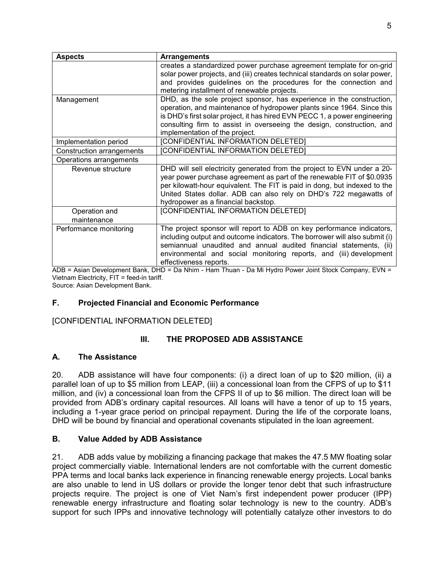| <b>Aspects</b>                                                                                  | <b>Arrangements</b>                                                         |  |  |
|-------------------------------------------------------------------------------------------------|-----------------------------------------------------------------------------|--|--|
|                                                                                                 | creates a standardized power purchase agreement template for on-grid        |  |  |
|                                                                                                 | solar power projects, and (iii) creates technical standards on solar power, |  |  |
|                                                                                                 | and provides guidelines on the procedures for the connection and            |  |  |
|                                                                                                 | metering installment of renewable projects.                                 |  |  |
| Management                                                                                      | DHD, as the sole project sponsor, has experience in the construction,       |  |  |
|                                                                                                 | operation, and maintenance of hydropower plants since 1964. Since this      |  |  |
|                                                                                                 | is DHD's first solar project, it has hired EVN PECC 1, a power engineering  |  |  |
|                                                                                                 | consulting firm to assist in overseeing the design, construction, and       |  |  |
|                                                                                                 | implementation of the project.                                              |  |  |
| Implementation period                                                                           | [CONFIDENTIAL INFORMATION DELETED]                                          |  |  |
| Construction arrangements                                                                       | [CONFIDENTIAL INFORMATION DELETED]                                          |  |  |
| Operations arrangements                                                                         |                                                                             |  |  |
| Revenue structure                                                                               | DHD will sell electricity generated from the project to EVN under a 20-     |  |  |
|                                                                                                 | year power purchase agreement as part of the renewable FIT of \$0.0935      |  |  |
|                                                                                                 | per kilowatt-hour equivalent. The FIT is paid in dong, but indexed to the   |  |  |
|                                                                                                 | United States dollar. ADB can also rely on DHD's 722 megawatts of           |  |  |
|                                                                                                 | hydropower as a financial backstop.                                         |  |  |
| Operation and                                                                                   | [CONFIDENTIAL INFORMATION DELETED]                                          |  |  |
| maintenance                                                                                     |                                                                             |  |  |
| The project sponsor will report to ADB on key performance indicators,<br>Performance monitoring |                                                                             |  |  |
|                                                                                                 | including output and outcome indicators. The borrower will also submit (i)  |  |  |
|                                                                                                 | semiannual unaudited and annual audited financial statements, (ii)          |  |  |
|                                                                                                 | environmental and social monitoring reports, and (iii) development          |  |  |
|                                                                                                 | effectiveness reports.                                                      |  |  |

ADB = Asian Development Bank, DHD = Da Nhim - Ham Thuan - Da Mi Hydro Power Joint Stock Company, EVN = Vietnam Electricity, FIT = feed-in tariff.

Source: Asian Development Bank.

## **F. Projected Financial and Economic Performance**

## [CONFIDENTIAL INFORMATION DELETED]

## **III. THE PROPOSED ADB ASSISTANCE**

#### **A. The Assistance**

20. ADB assistance will have four components: (i) a direct loan of up to \$20 million, (ii) a parallel loan of up to \$5 million from LEAP, (iii) a concessional loan from the CFPS of up to \$11 million, and (iv) a concessional loan from the CFPS II of up to \$6 million. The direct loan will be provided from ADB's ordinary capital resources. All loans will have a tenor of up to 15 years, including a 1-year grace period on principal repayment. During the life of the corporate loans, DHD will be bound by financial and operational covenants stipulated in the loan agreement.

#### **B. Value Added by ADB Assistance**

21. ADB adds value by mobilizing a financing package that makes the 47.5 MW floating solar project commercially viable. International lenders are not comfortable with the current domestic PPA terms and local banks lack experience in financing renewable energy projects. Local banks are also unable to lend in US dollars or provide the longer tenor debt that such infrastructure projects require. The project is one of Viet Nam's first independent power producer (IPP) renewable energy infrastructure and floating solar technology is new to the country. ADB's support for such IPPs and innovative technology will potentially catalyze other investors to do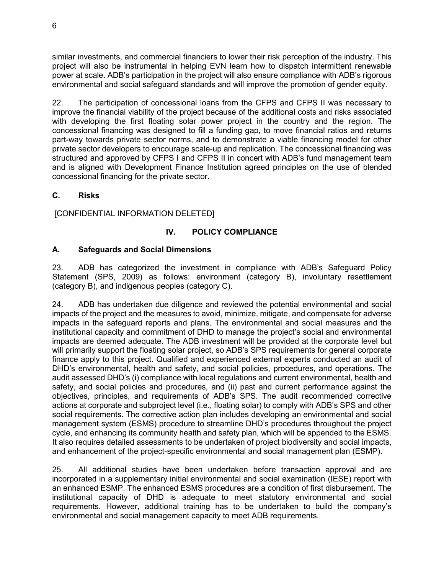similar investments, and commercial financiers to lower their risk perception of the industry. This project will also be instrumental in helping EVN learn how to dispatch intermittent renewable power at scale. ADB's participation in the project will also ensure compliance with ADB's rigorous environmental and social safeguard standards and will improve the promotion of gender equity.

22. The participation of concessional loans from the CFPS and CFPS II was necessary to improve the financial viability of the project because of the additional costs and risks associated with developing the first floating solar power project in the country and the region. The concessional financing was designed to fill a funding gap, to move financial ratios and returns part-way towards private sector norms, and to demonstrate a viable financing model for other private sector developers to encourage scale-up and replication. The concessional financing was structured and approved by CFPS I and CFPS II in concert with ADB's fund management team and is aligned with Development Finance Institution agreed principles on the use of blended concessional financing for the private sector.

#### **C. Risks**

[CONFIDENTIAL INFORMATION DELETED]

## **IV. POLICY COMPLIANCE**

#### **A. Safeguards and Social Dimensions**

23. ADB has categorized the investment in compliance with ADB's Safeguard Policy Statement (SPS, 2009) as follows: environment (category B), involuntary resettlement (category B), and indigenous peoples (category C).

24. ADB has undertaken due diligence and reviewed the potential environmental and social impacts of the project and the measures to avoid, minimize, mitigate, and compensate for adverse impacts in the safeguard reports and plans. The environmental and social measures and the institutional capacity and commitment of DHD to manage the project's social and environmental impacts are deemed adequate. The ADB investment will be provided at the corporate level but will primarily support the floating solar project, so ADB's SPS requirements for general corporate finance apply to this project. Qualified and experienced external experts conducted an audit of DHD's environmental, health and safety, and social policies, procedures, and operations. The audit assessed DHD's (i) compliance with local regulations and current environmental, health and safety, and social policies and procedures, and (ii) past and current performance against the objectives, principles, and requirements of ADB's SPS. The audit recommended corrective actions at corporate and subproject level (i.e., floating solar) to comply with ADB's SPS and other social requirements. The corrective action plan includes developing an environmental and social management system (ESMS) procedure to streamline DHD's procedures throughout the project cycle, and enhancing its community health and safety plan, which will be appended to the ESMS. It also requires detailed assessments to be undertaken of project biodiversity and social impacts, and enhancement of the project-specific environmental and social management plan (ESMP).

25. All additional studies have been undertaken before transaction approval and are incorporated in a supplementary initial environmental and social examination (IESE) report with an enhanced ESMP. The enhanced ESMS procedures are a condition of first disbursement. The institutional capacity of DHD is adequate to meet statutory environmental and social requirements. However, additional training has to be undertaken to build the company's environmental and social management capacity to meet ADB requirements.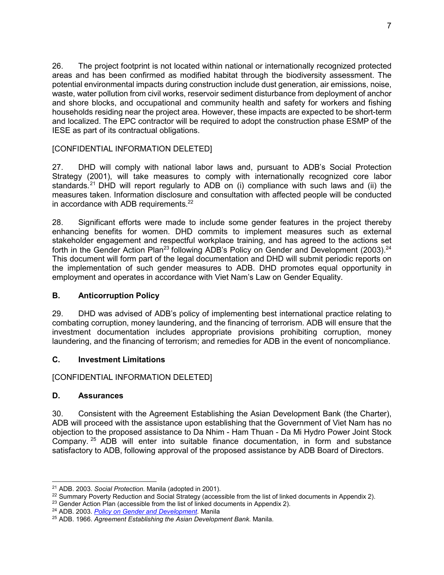26. The project footprint is not located within national or internationally recognized protected areas and has been confirmed as modified habitat through the biodiversity assessment. The potential environmental impacts during construction include dust generation, air emissions, noise, waste, water pollution from civil works, reservoir sediment disturbance from deployment of anchor and shore blocks, and occupational and community health and safety for workers and fishing households residing near the project area. However, these impacts are expected to be short-term and localized. The EPC contractor will be required to adopt the construction phase ESMP of the IESE as part of its contractual obligations.

#### [CONFIDENTIAL INFORMATION DELETED]

27. DHD will comply with national labor laws and, pursuant to ADB's Social Protection Strategy (2001), will take measures to comply with internationally recognized core labor standards.<sup>21</sup> DHD will report regularly to ADB on (i) compliance with such laws and (ii) the measures taken. Information disclosure and consultation with affected people will be conducted in accordance with ADB requirements. $^{22}$ 

28. Significant efforts were made to include some gender features in the project thereby enhancing benefits for women. DHD commits to implement measures such as external stakeholder engagement and respectful workplace training, and has agreed to the actions set forth in the Gender Action Plan<sup>23</sup> following ADB's Policy on Gender and Development (2003).<sup>24</sup> This document will form part of the legal documentation and DHD will submit periodic reports on the implementation of such gender measures to ADB. DHD promotes equal opportunity in employment and operates in accordance with Viet Nam's Law on Gender Equality.

## **B. Anticorruption Policy**

29. DHD was advised of ADB's policy of implementing best international practice relating to combating corruption, money laundering, and the financing of terrorism. ADB will ensure that the investment documentation includes appropriate provisions prohibiting corruption, money laundering, and the financing of terrorism; and remedies for ADB in the event of noncompliance.

## **C. Investment Limitations**

## [CONFIDENTIAL INFORMATION DELETED]

#### **D. Assurances**

30. Consistent with the Agreement Establishing the Asian Development Bank (the Charter), ADB will proceed with the assistance upon establishing that the Government of Viet Nam has no objection to the proposed assistance to Da Nhim - Ham Thuan - Da Mi Hydro Power Joint Stock Company. <sup>25</sup> ADB will enter into suitable finance documentation, in form and substance satisfactory to ADB, following approval of the proposed assistance by ADB Board of Directors.

<sup>-</sup><sup>21</sup> ADB. 2003. *Social Protection.* Manila (adopted in 2001).

 $22$  Summary Poverty Reduction and Social Strategy (accessible from the list of linked documents in Appendix 2).

 $23$  Gender Action Plan (accessible from the list of linked documents in Appendix 2).

<sup>24</sup> ADB. 2003. *Policy on Gender and Development.* Manila

<sup>25</sup> ADB. 1966. *Agreement Establishing the Asian Development Bank.* Manila.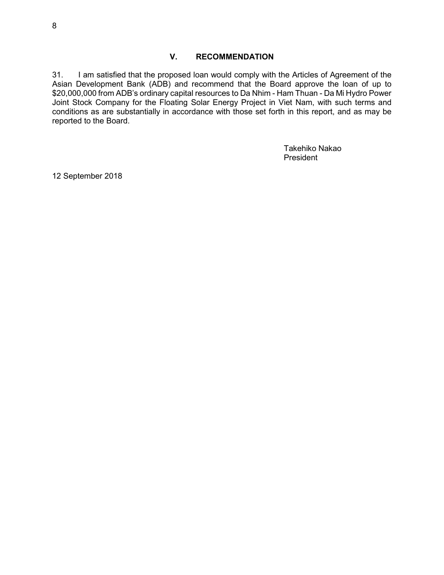#### **V. RECOMMENDATION**

31. I am satisfied that the proposed loan would comply with the Articles of Agreement of the Asian Development Bank (ADB) and recommend that the Board approve the loan of up to \$20,000,000 from ADB's ordinary capital resources to Da Nhim - Ham Thuan - Da Mi Hydro Power Joint Stock Company for the Floating Solar Energy Project in Viet Nam, with such terms and conditions as are substantially in accordance with those set forth in this report, and as may be reported to the Board.

> Takehiko Nakao President

12 September 2018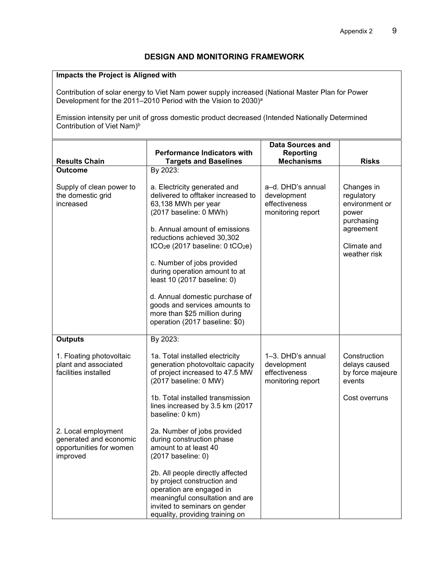#### **Impacts the Project is Aligned with**

Contribution of solar energy to Viet Nam power supply increased (National Master Plan for Power Development for the 2011–2010 Period with the Vision to 2030)<sup>a</sup>

Emission intensity per unit of gross domestic product decreased (Intended Nationally Determined Contribution of Viet Nam)<sup>b</sup>

|                                                                                      | <b>Performance Indicators with</b>                                                                                                                                                                                                                                                                                                                                                                                | Data Sources and<br><b>Reporting</b>                                   |                                                                                                               |
|--------------------------------------------------------------------------------------|-------------------------------------------------------------------------------------------------------------------------------------------------------------------------------------------------------------------------------------------------------------------------------------------------------------------------------------------------------------------------------------------------------------------|------------------------------------------------------------------------|---------------------------------------------------------------------------------------------------------------|
| <b>Results Chain</b>                                                                 | <b>Targets and Baselines</b>                                                                                                                                                                                                                                                                                                                                                                                      | <b>Mechanisms</b>                                                      | <b>Risks</b>                                                                                                  |
| Outcome                                                                              | By 2023:                                                                                                                                                                                                                                                                                                                                                                                                          |                                                                        |                                                                                                               |
| Supply of clean power to<br>the domestic grid<br>increased                           | a. Electricity generated and<br>delivered to offtaker increased to<br>63,138 MWh per year<br>(2017 baseline: 0 MWh)<br>b. Annual amount of emissions<br>reductions achieved 30,302<br>tCO <sub>2</sub> e (2017 baseline: $0$ tCO <sub>2</sub> e)<br>c. Number of jobs provided<br>during operation amount to at<br>least 10 (2017 baseline: 0)<br>d. Annual domestic purchase of<br>goods and services amounts to | a-d. DHD's annual<br>development<br>effectiveness<br>monitoring report | Changes in<br>regulatory<br>environment or<br>power<br>purchasing<br>agreement<br>Climate and<br>weather risk |
|                                                                                      | more than \$25 million during<br>operation (2017 baseline: \$0)                                                                                                                                                                                                                                                                                                                                                   |                                                                        |                                                                                                               |
| <b>Outputs</b>                                                                       | By 2023:                                                                                                                                                                                                                                                                                                                                                                                                          |                                                                        |                                                                                                               |
| 1. Floating photovoltaic<br>plant and associated<br>facilities installed             | 1a. Total installed electricity<br>generation photovoltaic capacity<br>of project increased to 47.5 MW<br>(2017 baseline: 0 MW)                                                                                                                                                                                                                                                                                   | 1-3. DHD's annual<br>development<br>effectiveness<br>monitoring report | Construction<br>delays caused<br>by force majeure<br>events                                                   |
|                                                                                      | 1b. Total installed transmission<br>lines increased by 3.5 km (2017<br>baseline: 0 km)                                                                                                                                                                                                                                                                                                                            |                                                                        | Cost overruns                                                                                                 |
| 2. Local employment<br>generated and economic<br>opportunities for women<br>improved | 2a. Number of jobs provided<br>during construction phase<br>amount to at least 40<br>(2017 baseline: 0)                                                                                                                                                                                                                                                                                                           |                                                                        |                                                                                                               |
|                                                                                      | 2b. All people directly affected<br>by project construction and<br>operation are engaged in<br>meaningful consultation and are<br>invited to seminars on gender<br>equality, providing training on                                                                                                                                                                                                                |                                                                        |                                                                                                               |